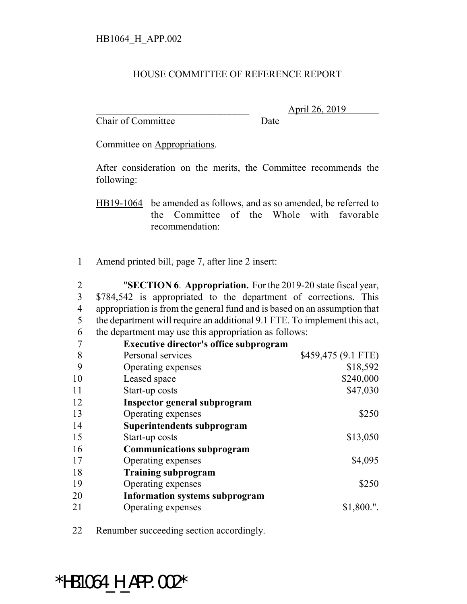## HOUSE COMMITTEE OF REFERENCE REPORT

Chair of Committee Date

\_\_\_\_\_\_\_\_\_\_\_\_\_\_\_\_\_\_\_\_\_\_\_\_\_\_\_\_\_\_\_ April 26, 2019

Committee on Appropriations.

After consideration on the merits, the Committee recommends the following:

HB19-1064 be amended as follows, and as so amended, be referred to the Committee of the Whole with favorable recommendation:

Amend printed bill, page 7, after line 2 insert:

 "**SECTION 6**. **Appropriation.** For the 2019-20 state fiscal year, \$784,542 is appropriated to the department of corrections. This appropriation is from the general fund and is based on an assumption that the department will require an additional 9.1 FTE. To implement this act, the department may use this appropriation as follows:

|    | <b>Executive director's office subprogram</b> |                     |
|----|-----------------------------------------------|---------------------|
| 8  | Personal services                             | \$459,475 (9.1 FTE) |
| 9  | Operating expenses                            | \$18,592            |
| 10 | Leased space                                  | \$240,000           |
| 11 | Start-up costs                                | \$47,030            |
| 12 | Inspector general subprogram                  |                     |
| 13 | Operating expenses                            | \$250               |
| 14 | Superintendents subprogram                    |                     |
| 15 | Start-up costs                                | \$13,050            |
| 16 | <b>Communications subprogram</b>              |                     |
| 17 | Operating expenses                            | \$4,095             |
| 18 | <b>Training subprogram</b>                    |                     |
| 19 | Operating expenses                            | \$250               |
| 20 | <b>Information systems subprogram</b>         |                     |
| 21 | Operating expenses                            | \$1,800."           |

Renumber succeeding section accordingly.

\*HB1064 H APP.002\*